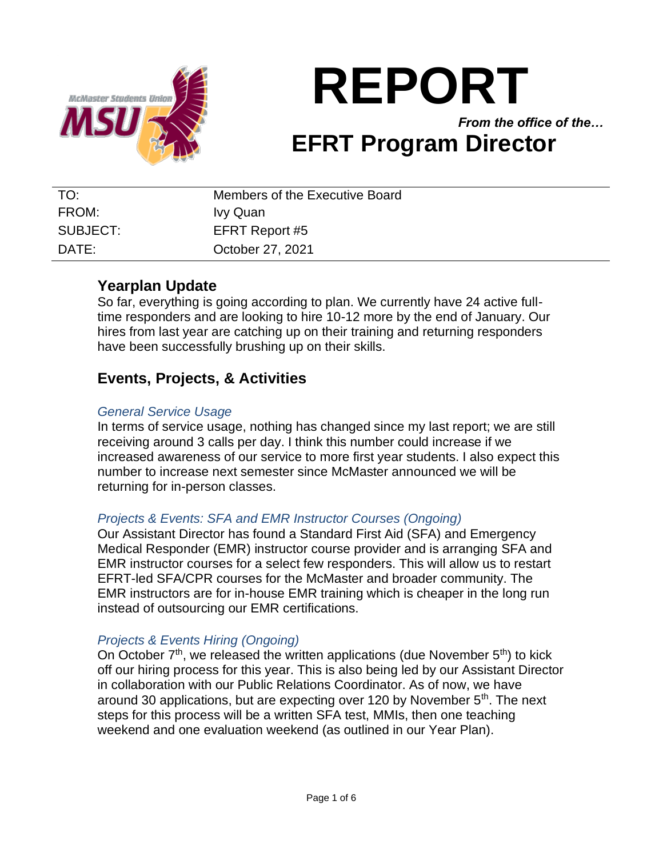

# **REPORT** *From the office of the…*

## **EFRT Program Director**

| TO:      | Members of the Executive Board |
|----------|--------------------------------|
| FROM:    | Ivy Quan                       |
| SUBJECT: | EFRT Report #5                 |
| DATF:    | October 27, 2021               |

## **Yearplan Update**

So far, everything is going according to plan. We currently have 24 active fulltime responders and are looking to hire 10-12 more by the end of January. Our hires from last year are catching up on their training and returning responders have been successfully brushing up on their skills.

## **Events, Projects, & Activities**

### *General Service Usage*

In terms of service usage, nothing has changed since my last report; we are still receiving around 3 calls per day. I think this number could increase if we increased awareness of our service to more first year students. I also expect this number to increase next semester since McMaster announced we will be returning for in-person classes.

### *Projects & Events: SFA and EMR Instructor Courses (Ongoing)*

Our Assistant Director has found a Standard First Aid (SFA) and Emergency Medical Responder (EMR) instructor course provider and is arranging SFA and EMR instructor courses for a select few responders. This will allow us to restart EFRT-led SFA/CPR courses for the McMaster and broader community. The EMR instructors are for in-house EMR training which is cheaper in the long run instead of outsourcing our EMR certifications.

### *Projects & Events Hiring (Ongoing)*

On October  $7<sup>th</sup>$ , we released the written applications (due November  $5<sup>th</sup>$ ) to kick off our hiring process for this year. This is also being led by our Assistant Director in collaboration with our Public Relations Coordinator. As of now, we have around 30 applications, but are expecting over 120 by November 5<sup>th</sup>. The next steps for this process will be a written SFA test, MMIs, then one teaching weekend and one evaluation weekend (as outlined in our Year Plan).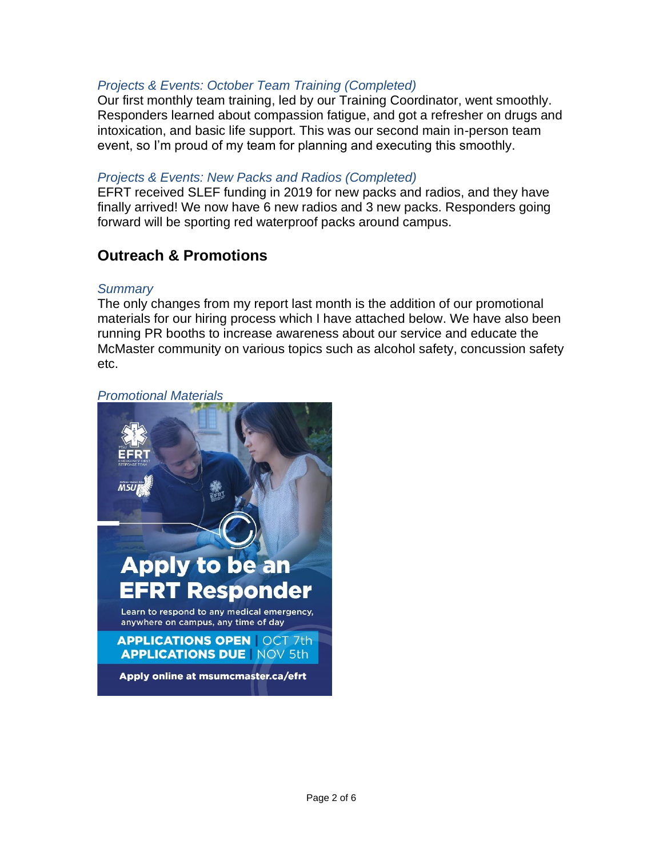## *Projects & Events: October Team Training (Completed)*

Our first monthly team training, led by our Training Coordinator, went smoothly. Responders learned about compassion fatigue, and got a refresher on drugs and intoxication, and basic life support. This was our second main in-person team event, so I'm proud of my team for planning and executing this smoothly.

### *Projects & Events: New Packs and Radios (Completed)*

EFRT received SLEF funding in 2019 for new packs and radios, and they have finally arrived! We now have 6 new radios and 3 new packs. Responders going forward will be sporting red waterproof packs around campus.

## **Outreach & Promotions**

### *Summary*

The only changes from my report last month is the addition of our promotional materials for our hiring process which I have attached below. We have also been running PR booths to increase awareness about our service and educate the McMaster community on various topics such as alcohol safety, concussion safety etc.

*Promotional Materials*

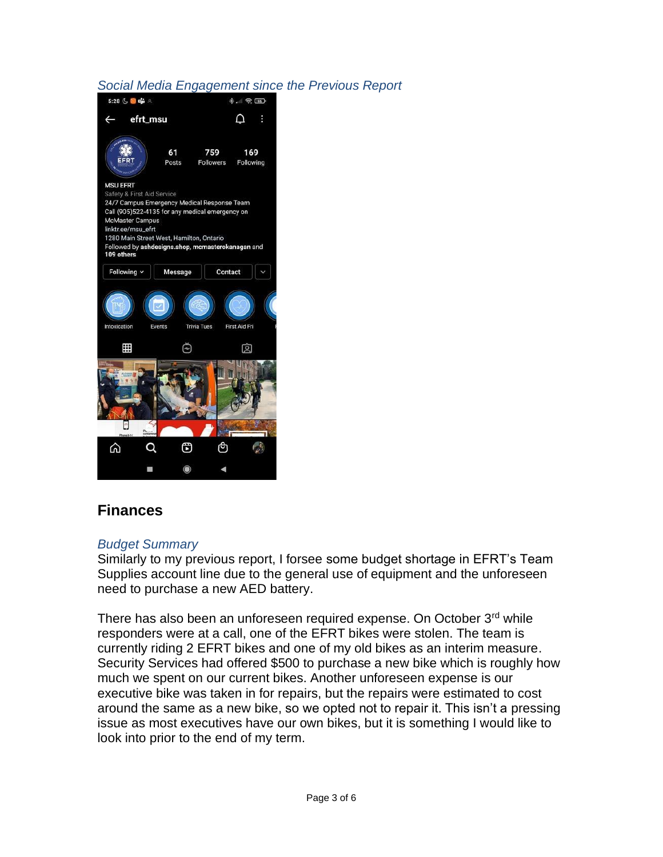## *Social Media Engagement since the Previous Report*



## **Finances**

### *Budget Summary*

Similarly to my previous report, I forsee some budget shortage in EFRT's Team Supplies account line due to the general use of equipment and the unforeseen need to purchase a new AED battery.

There has also been an unforeseen required expense. On October 3<sup>rd</sup> while responders were at a call, one of the EFRT bikes were stolen. The team is currently riding 2 EFRT bikes and one of my old bikes as an interim measure. Security Services had offered \$500 to purchase a new bike which is roughly how much we spent on our current bikes. Another unforeseen expense is our executive bike was taken in for repairs, but the repairs were estimated to cost around the same as a new bike, so we opted not to repair it. This isn't a pressing issue as most executives have our own bikes, but it is something I would like to look into prior to the end of my term.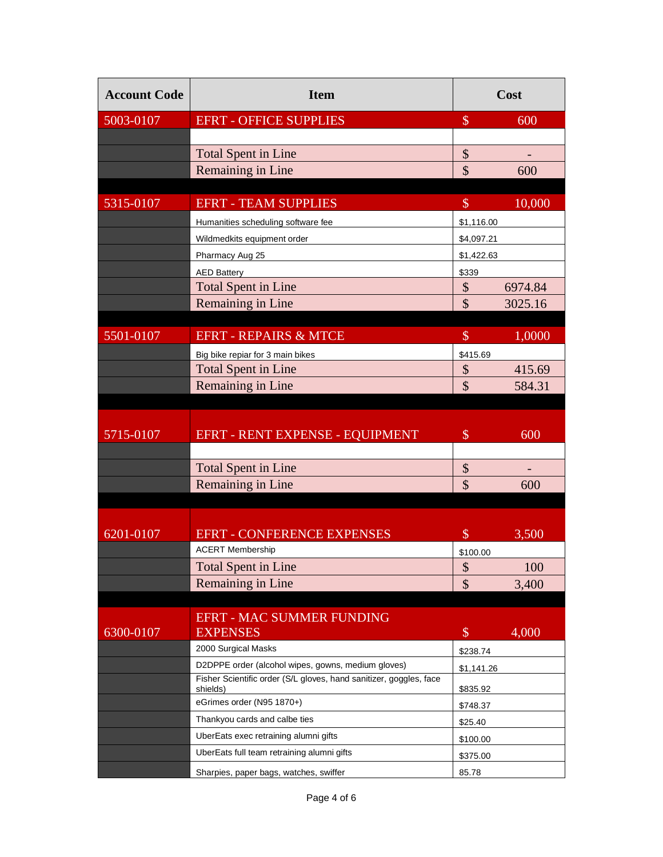| <b>Account Code</b> | <b>Item</b>                                                                    | Cost                      |         |
|---------------------|--------------------------------------------------------------------------------|---------------------------|---------|
| 5003-0107           | <b>EFRT - OFFICE SUPPLIES</b>                                                  | $\mathcal{S}$             | 600     |
|                     |                                                                                |                           |         |
|                     | <b>Total Spent in Line</b>                                                     | \$                        |         |
|                     | Remaining in Line                                                              | $\mathcal{S}$             | 600     |
|                     |                                                                                |                           |         |
| 5315-0107           | <b>EFRT - TEAM SUPPLIES</b>                                                    | $\$\$                     | 10,000  |
|                     | Humanities scheduling software fee                                             | \$1,116.00                |         |
|                     | Wildmedkits equipment order                                                    | \$4,097.21                |         |
|                     | Pharmacy Aug 25                                                                | \$1,422.63                |         |
|                     | <b>AED Battery</b>                                                             | \$339                     |         |
|                     | <b>Total Spent in Line</b>                                                     | $\boldsymbol{\mathsf{S}}$ | 6974.84 |
|                     | Remaining in Line                                                              | $\mathbf{\hat{S}}$        | 3025.16 |
|                     |                                                                                |                           |         |
| 5501-0107           | <b>EFRT - REPAIRS &amp; MTCE</b>                                               | $\$\$                     | 1,0000  |
|                     | Big bike repiar for 3 main bikes                                               | \$415.69                  |         |
|                     | <b>Total Spent in Line</b>                                                     | \$                        | 415.69  |
|                     | Remaining in Line                                                              | $\mathcal{S}$             | 584.31  |
|                     |                                                                                |                           |         |
|                     |                                                                                |                           |         |
| 5715-0107           | EFRT - RENT EXPENSE - EQUIPMENT                                                | $\mathcal{S}$             | 600     |
|                     |                                                                                |                           |         |
|                     | <b>Total Spent in Line</b>                                                     | \$                        |         |
|                     | Remaining in Line                                                              | \$                        | 600     |
|                     |                                                                                |                           |         |
| 6201-0107           | <b>EFRT - CONFERENCE EXPENSES</b>                                              | $\$\$                     | 3,500   |
|                     | <b>ACERT Membership</b>                                                        |                           |         |
|                     | <b>Total Spent in Line</b>                                                     | \$100.00<br>\$            | 100     |
|                     | Remaining in Line                                                              | \$                        | 3,400   |
|                     |                                                                                |                           |         |
|                     | <b>EFRT - MAC SUMMER FUNDING</b>                                               |                           |         |
| 6300-0107           | <b>EXPENSES</b>                                                                | $\$\$                     | 4,000   |
|                     | 2000 Surgical Masks                                                            | \$238.74                  |         |
|                     | D2DPPE order (alcohol wipes, gowns, medium gloves)                             | \$1,141.26                |         |
|                     | Fisher Scientific order (S/L gloves, hand sanitizer, goggles, face<br>shields) | \$835.92                  |         |
|                     | eGrimes order (N95 1870+)                                                      | \$748.37                  |         |
|                     | Thankyou cards and calbe ties                                                  | \$25.40                   |         |
|                     | UberEats exec retraining alumni gifts                                          | \$100.00                  |         |
|                     | UberEats full team retraining alumni gifts                                     | \$375.00                  |         |
|                     | Sharpies, paper bags, watches, swiffer                                         | 85.78                     |         |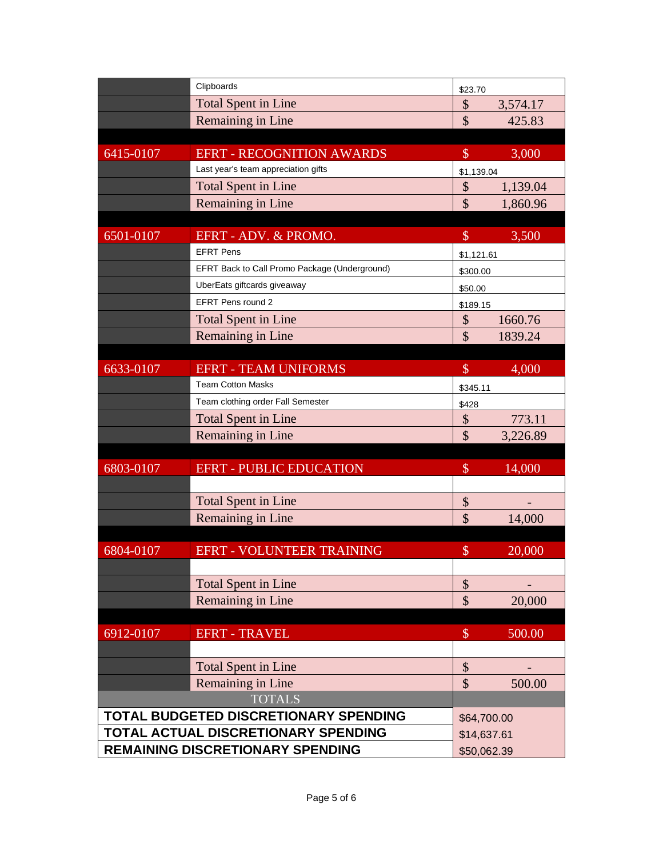|                                                                              | Clipboards                                    | \$23.70       |             |  |
|------------------------------------------------------------------------------|-----------------------------------------------|---------------|-------------|--|
|                                                                              | <b>Total Spent in Line</b>                    | \$            | 3,574.17    |  |
|                                                                              | Remaining in Line                             | \$            | 425.83      |  |
|                                                                              |                                               |               |             |  |
| 6415-0107                                                                    | <b>EFRT - RECOGNITION AWARDS</b>              | $\$\$         | 3,000       |  |
|                                                                              | Last year's team appreciation gifts           |               | \$1,139.04  |  |
|                                                                              | <b>Total Spent in Line</b>                    | \$            | 1,139.04    |  |
|                                                                              | Remaining in Line                             | \$            | 1,860.96    |  |
|                                                                              |                                               |               |             |  |
| 6501-0107                                                                    | EFRT - ADV. & PROMO.                          | $\$\$         | 3,500       |  |
|                                                                              | <b>EFRT Pens</b>                              |               | \$1,121.61  |  |
|                                                                              | EFRT Back to Call Promo Package (Underground) |               | \$300.00    |  |
|                                                                              | UberEats giftcards giveaway                   | \$50.00       |             |  |
|                                                                              | <b>EFRT Pens round 2</b>                      | \$189.15      |             |  |
|                                                                              | <b>Total Spent in Line</b>                    | \$            | 1660.76     |  |
|                                                                              | Remaining in Line                             | \$            | 1839.24     |  |
|                                                                              |                                               |               |             |  |
| 6633-0107                                                                    | <b>EFRT - TEAM UNIFORMS</b>                   | $\mathcal{S}$ | 4,000       |  |
|                                                                              | <b>Team Cotton Masks</b>                      | \$345.11      |             |  |
|                                                                              | Team clothing order Fall Semester             | \$428         |             |  |
|                                                                              | <b>Total Spent in Line</b>                    | \$            | 773.11      |  |
|                                                                              | Remaining in Line                             | \$            | 3,226.89    |  |
|                                                                              |                                               |               |             |  |
| 6803-0107                                                                    | <b>EFRT - PUBLIC EDUCATION</b>                | $\mathcal{S}$ | 14,000      |  |
|                                                                              |                                               |               |             |  |
|                                                                              | <b>Total Spent in Line</b>                    | \$            |             |  |
|                                                                              | Remaining in Line                             | \$            | 14,000      |  |
|                                                                              |                                               |               |             |  |
| 6804-0107                                                                    | EFRT - VOLUNTEER TRAINING                     | $\mathcal{S}$ | 20,000      |  |
|                                                                              |                                               |               |             |  |
|                                                                              | <b>Total Spent in Line</b>                    | \$            |             |  |
|                                                                              | Remaining in Line                             | \$            | 20,000      |  |
|                                                                              |                                               |               |             |  |
| 6912-0107                                                                    | <b>EFRT - TRAVEL</b>                          | $\$\,$        | 500.00      |  |
|                                                                              |                                               |               |             |  |
|                                                                              | <b>Total Spent in Line</b>                    | \$            |             |  |
|                                                                              | Remaining in Line                             | $\mathcal{S}$ | 500.00      |  |
| <b>TOTALS</b>                                                                |                                               |               |             |  |
| TOTAL BUDGETED DISCRETIONARY SPENDING<br>TOTAL ACTUAL DISCRETIONARY SPENDING |                                               |               | \$64,700.00 |  |
|                                                                              |                                               |               | \$14,637.61 |  |
| REMAINING DISCRETIONARY SPENDING                                             |                                               |               | \$50,062.39 |  |